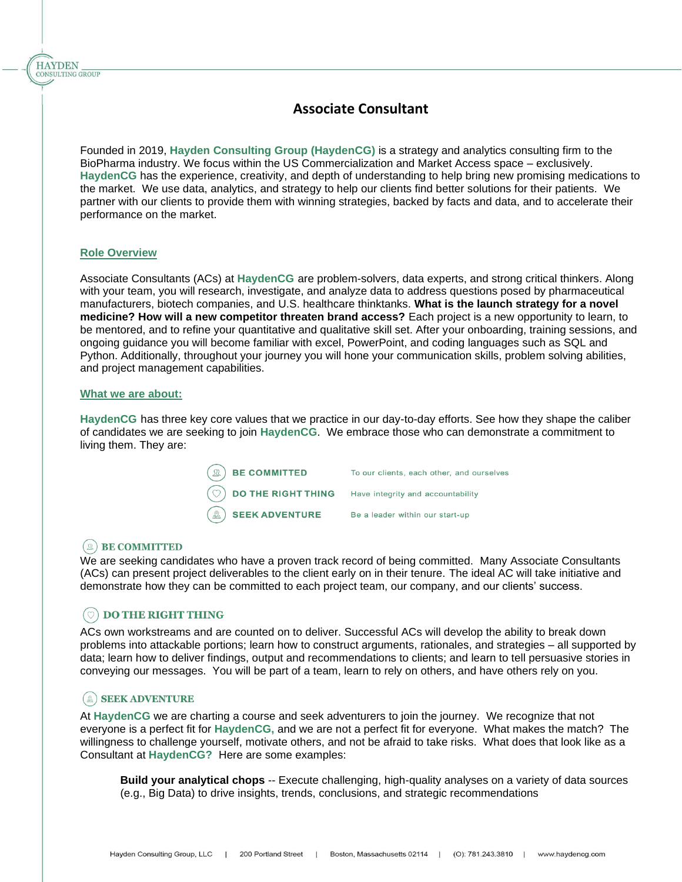Founded in 2019, **Hayden Consulting Group (HaydenCG)** is a strategy and analytics consulting firm to the BioPharma industry. We focus within the US Commercialization and Market Access space – exclusively. **HaydenCG** has the experience, creativity, and depth of understanding to help bring new promising medications to the market. We use data, analytics, and strategy to help our clients find better solutions for their patients. We partner with our clients to provide them with winning strategies, backed by facts and data, and to accelerate their performance on the market.

### **Role Overview**

**HAYDEN** CONSULTING GROUP

> Associate Consultants (ACs) at **HaydenCG** are problem-solvers, data experts, and strong critical thinkers. Along with your team, you will research, investigate, and analyze data to address questions posed by pharmaceutical manufacturers, biotech companies, and U.S. healthcare thinktanks. **What is the launch strategy for a novel medicine? How will a new competitor threaten brand access?** Each project is a new opportunity to learn, to be mentored, and to refine your quantitative and qualitative skill set. After your onboarding, training sessions, and ongoing guidance you will become familiar with excel, PowerPoint, and coding languages such as SQL and Python. Additionally, throughout your journey you will hone your communication skills, problem solving abilities, and project management capabilities.

#### **What we are about:**

**HaydenCG** has three key core values that we practice in our day-to-day efforts. See how they shape the caliber of candidates we are seeking to join **HaydenCG**. We embrace those who can demonstrate a commitment to living them. They are:

| $\left(\mathbb{R}\right)$ BE COMMITTED                             | To our clients, each other, and ourselves |
|--------------------------------------------------------------------|-------------------------------------------|
| $\circled{C}$ DO THE RIGHT THING Have integrity and accountability |                                           |
| $\mathbb{R}$ SEEK ADVENTURE                                        | Be a leader within our start-up           |

# $(\mathbb{R})$  BE COMMITTED

We are seeking candidates who have a proven track record of being committed. Many Associate Consultants (ACs) can present project deliverables to the client early on in their tenure. The ideal AC will take initiative and demonstrate how they can be committed to each project team, our company, and our clients' success.

# **DO THE RIGHT THING**

ACs own workstreams and are counted on to deliver. Successful ACs will develop the ability to break down problems into attackable portions; learn how to construct arguments, rationales, and strategies – all supported by data; learn how to deliver findings, output and recommendations to clients; and learn to tell persuasive stories in conveying our messages. You will be part of a team, learn to rely on others, and have others rely on you.

# (a) SEEK ADVENTURE

At **HaydenCG** we are charting a course and seek adventurers to join the journey. We recognize that not everyone is a perfect fit for **HaydenCG,** and we are not a perfect fit for everyone. What makes the match? The willingness to challenge yourself, motivate others, and not be afraid to take risks. What does that look like as a Consultant at **HaydenCG?** Here are some examples:

**Build your analytical chops** -- Execute challenging, high-quality analyses on a variety of data sources (e.g., Big Data) to drive insights, trends, conclusions, and strategic recommendations